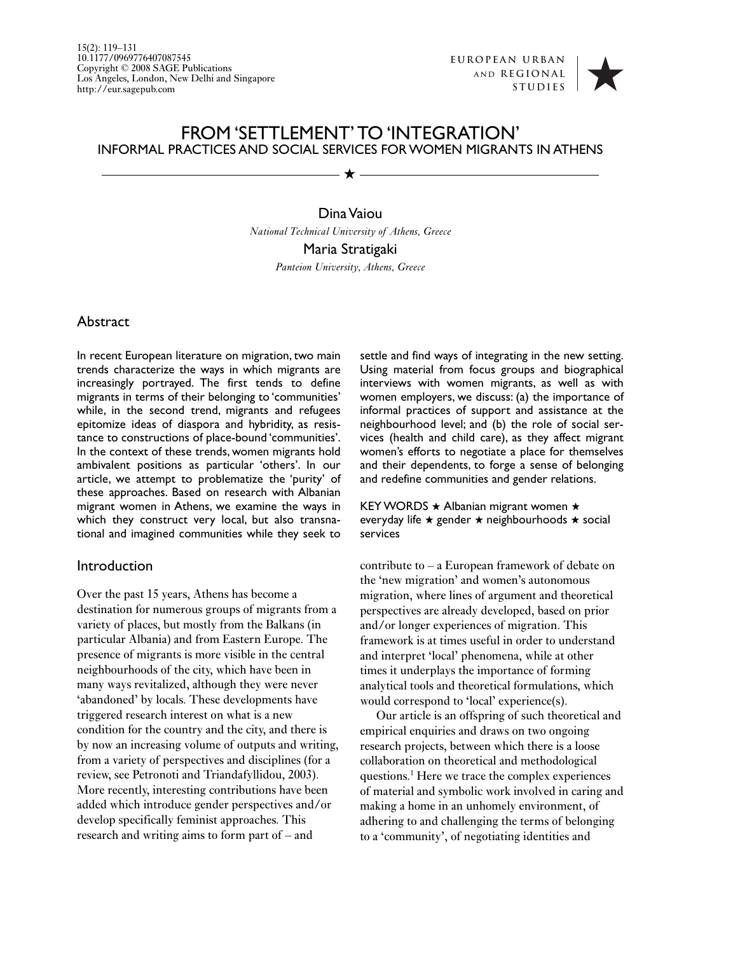15(2): 119–131 10.1177/0969776407087545 Copyright © 2008 SAGE Publications Los Angeles, London, New Delhi and Singapore http://eur.sagepub.com



# FROM 'SETTLEMENT' TO 'INTEGRATION' INFORMAL PRACTICES AND SOCIAL SERVICES FOR WOMEN MIGRANTS IN ATHENS

★

## Dina Vaiou

*National Technical University of Athens, Greece* Maria Stratigaki

*Panteion University, Athens, Greece*

## Abstract

In recent European literature on migration, two main trends characterize the ways in which migrants are increasingly portrayed. The first tends to define migrants in terms of their belonging to 'communities' while, in the second trend, migrants and refugees epitomize ideas of diaspora and hybridity, as resistance to constructions of place-bound 'communities'. In the context of these trends, women migrants hold ambivalent positions as particular 'others'. In our article, we attempt to problematize the 'purity' of these approaches. Based on research with Albanian migrant women in Athens, we examine the ways in which they construct very local, but also transnational and imagined communities while they seek to

## Introduction

Over the past 15 years, Athens has become a destination for numerous groups of migrants from a variety of places, but mostly from the Balkans (in particular Albania) and from Eastern Europe. The presence of migrants is more visible in the central neighbourhoods of the city, which have been in many ways revitalized, although they were never 'abandoned' by locals. These developments have triggered research interest on what is a new condition for the country and the city, and there is by now an increasing volume of outputs and writing, from a variety of perspectives and disciplines (for a review, see Petronoti and Triandafyllidou, 2003). More recently, interesting contributions have been added which introduce gender perspectives and/or develop specifically feminist approaches. This research and writing aims to form part of – and

settle and find ways of integrating in the new setting. Using material from focus groups and biographical interviews with women migrants, as well as with women employers, we discuss: (a) the importance of informal practices of support and assistance at the neighbourhood level; and (b) the role of social services (health and child care), as they affect migrant women's efforts to negotiate a place for themselves and their dependents, to forge a sense of belonging and redefine communities and gender relations.

### KEY WORDS ★ Albanian migrant women ★ everyday life ★ gender ★ neighbourhoods ★ social services

contribute to – a European framework of debate on the 'new migration' and women's autonomous migration, where lines of argument and theoretical perspectives are already developed, based on prior and/or longer experiences of migration. This framework is at times useful in order to understand and interpret 'local' phenomena, while at other times it underplays the importance of forming analytical tools and theoretical formulations, which would correspond to 'local' experience(s).

Our article is an offspring of such theoretical and empirical enquiries and draws on two ongoing research projects, between which there is a loose collaboration on theoretical and methodological questions.1 Here we trace the complex experiences of material and symbolic work involved in caring and making a home in an unhomely environment, of adhering to and challenging the terms of belonging to a 'community', of negotiating identities and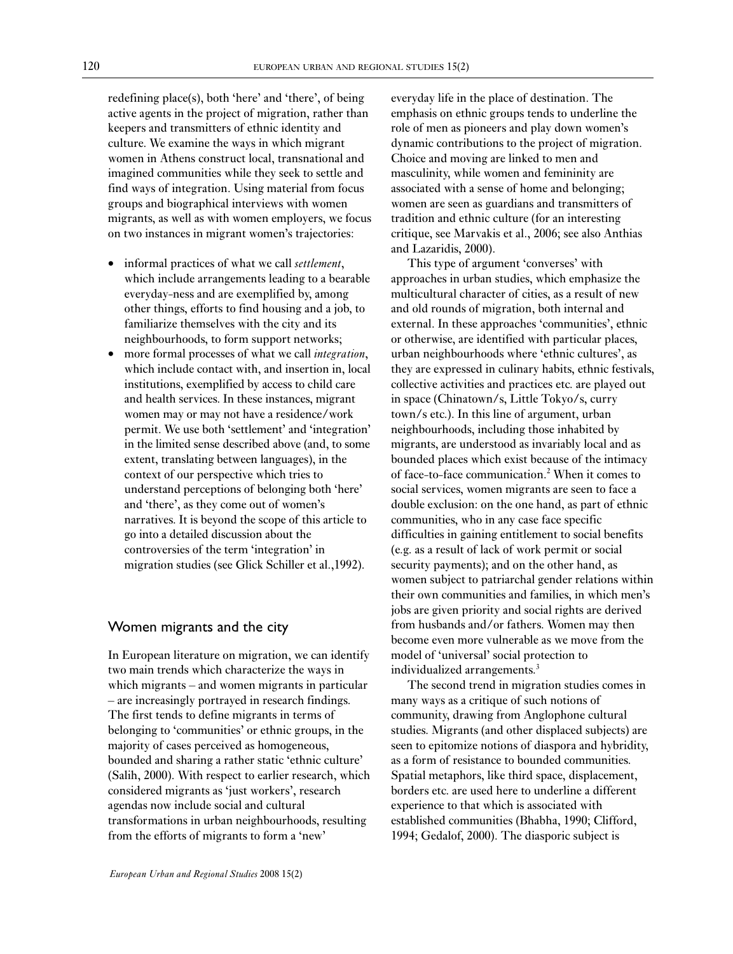redefining place(s), both 'here' and 'there', of being active agents in the project of migration, rather than keepers and transmitters of ethnic identity and culture. We examine the ways in which migrant women in Athens construct local, transnational and imagined communities while they seek to settle and find ways of integration. Using material from focus groups and biographical interviews with women migrants, as well as with women employers, we focus on two instances in migrant women's trajectories:

- informal practices of what we call *settlement*, which include arrangements leading to a bearable everyday-ness and are exemplified by, among other things, efforts to find housing and a job, to familiarize themselves with the city and its neighbourhoods, to form support networks;
- more formal processes of what we call *integration*, which include contact with, and insertion in, local institutions, exemplified by access to child care and health services. In these instances, migrant women may or may not have a residence/work permit. We use both 'settlement' and 'integration' in the limited sense described above (and, to some extent, translating between languages), in the context of our perspective which tries to understand perceptions of belonging both 'here' and 'there', as they come out of women's narratives. It is beyond the scope of this article to go into a detailed discussion about the controversies of the term 'integration' in migration studies (see Glick Schiller et al.,1992).

### Women migrants and the city

In European literature on migration, we can identify two main trends which characterize the ways in which migrants – and women migrants in particular – are increasingly portrayed in research findings. The first tends to define migrants in terms of belonging to 'communities' or ethnic groups, in the majority of cases perceived as homogeneous, bounded and sharing a rather static 'ethnic culture' (Salih, 2000). With respect to earlier research, which considered migrants as 'just workers', research agendas now include social and cultural transformations in urban neighbourhoods, resulting from the efforts of migrants to form a 'new'

everyday life in the place of destination. The emphasis on ethnic groups tends to underline the role of men as pioneers and play down women's dynamic contributions to the project of migration. Choice and moving are linked to men and masculinity, while women and femininity are associated with a sense of home and belonging; women are seen as guardians and transmitters of tradition and ethnic culture (for an interesting critique, see Marvakis et al., 2006; see also Anthias and Lazaridis, 2000).

This type of argument 'converses' with approaches in urban studies, which emphasize the multicultural character of cities, as a result of new and old rounds of migration, both internal and external. In these approaches 'communities', ethnic or otherwise, are identified with particular places, urban neighbourhoods where 'ethnic cultures', as they are expressed in culinary habits, ethnic festivals, collective activities and practices etc. are played out in space (Chinatown/s, Little Tokyo/s, curry town/s etc.). In this line of argument, urban neighbourhoods, including those inhabited by migrants, are understood as invariably local and as bounded places which exist because of the intimacy of face-to-face communication.2 When it comes to social services, women migrants are seen to face a double exclusion: on the one hand, as part of ethnic communities, who in any case face specific difficulties in gaining entitlement to social benefits (e.g. as a result of lack of work permit or social security payments); and on the other hand, as women subject to patriarchal gender relations within their own communities and families, in which men's jobs are given priority and social rights are derived from husbands and/or fathers. Women may then become even more vulnerable as we move from the model of 'universal' social protection to individualized arrangements.<sup>3</sup>

The second trend in migration studies comes in many ways as a critique of such notions of community, drawing from Anglophone cultural studies. Migrants (and other displaced subjects) are seen to epitomize notions of diaspora and hybridity, as a form of resistance to bounded communities. Spatial metaphors, like third space, displacement, borders etc. are used here to underline a different experience to that which is associated with established communities (Bhabha, 1990; Clifford, 1994; Gedalof, 2000). The diasporic subject is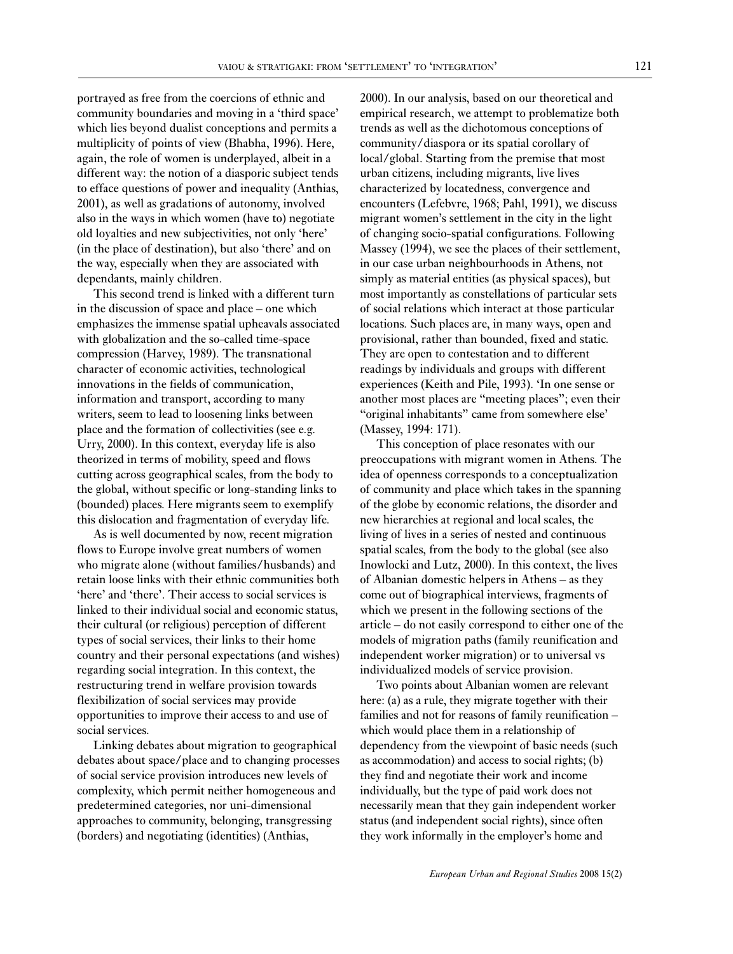portrayed as free from the coercions of ethnic and community boundaries and moving in a 'third space' which lies beyond dualist conceptions and permits a multiplicity of points of view (Bhabha, 1996). Here, again, the role of women is underplayed, albeit in a different way: the notion of a diasporic subject tends to efface questions of power and inequality (Anthias, 2001), as well as gradations of autonomy, involved also in the ways in which women (have to) negotiate old loyalties and new subjectivities, not only 'here' (in the place of destination), but also 'there' and on the way, especially when they are associated with dependants, mainly children.

This second trend is linked with a different turn in the discussion of space and place – one which emphasizes the immense spatial upheavals associated with globalization and the so-called time-space compression (Harvey, 1989). The transnational character of economic activities, technological innovations in the fields of communication, information and transport, according to many writers, seem to lead to loosening links between place and the formation of collectivities (see e.g. Urry, 2000). In this context, everyday life is also theorized in terms of mobility, speed and flows cutting across geographical scales, from the body to the global, without specific or long-standing links to (bounded) places. Here migrants seem to exemplify this dislocation and fragmentation of everyday life.

As is well documented by now, recent migration flows to Europe involve great numbers of women who migrate alone (without families/husbands) and retain loose links with their ethnic communities both 'here' and 'there'. Their access to social services is linked to their individual social and economic status, their cultural (or religious) perception of different types of social services, their links to their home country and their personal expectations (and wishes) regarding social integration. In this context, the restructuring trend in welfare provision towards flexibilization of social services may provide opportunities to improve their access to and use of social services.

Linking debates about migration to geographical debates about space/place and to changing processes of social service provision introduces new levels of complexity, which permit neither homogeneous and predetermined categories, nor uni-dimensional approaches to community, belonging, transgressing (borders) and negotiating (identities) (Anthias,

2000). In our analysis, based on our theoretical and empirical research, we attempt to problematize both trends as well as the dichotomous conceptions of community/diaspora or its spatial corollary of local/global. Starting from the premise that most urban citizens, including migrants, live lives characterized by locatedness, convergence and encounters (Lefebvre, 1968; Pahl, 1991), we discuss migrant women's settlement in the city in the light of changing socio-spatial configurations. Following Massey (1994), we see the places of their settlement, in our case urban neighbourhoods in Athens, not simply as material entities (as physical spaces), but most importantly as constellations of particular sets of social relations which interact at those particular locations. Such places are, in many ways, open and provisional, rather than bounded, fixed and static. They are open to contestation and to different readings by individuals and groups with different experiences (Keith and Pile, 1993). 'In one sense or another most places are "meeting places"; even their "original inhabitants" came from somewhere else' (Massey, 1994: 171).

This conception of place resonates with our preoccupations with migrant women in Athens. The idea of openness corresponds to a conceptualization of community and place which takes in the spanning of the globe by economic relations, the disorder and new hierarchies at regional and local scales, the living of lives in a series of nested and continuous spatial scales, from the body to the global (see also Inowlocki and Lutz, 2000). In this context, the lives of Albanian domestic helpers in Athens – as they come out of biographical interviews, fragments of which we present in the following sections of the article – do not easily correspond to either one of the models of migration paths (family reunification and independent worker migration) or to universal vs individualized models of service provision.

Two points about Albanian women are relevant here: (a) as a rule, they migrate together with their families and not for reasons of family reunification – which would place them in a relationship of dependency from the viewpoint of basic needs (such as accommodation) and access to social rights; (b) they find and negotiate their work and income individually, but the type of paid work does not necessarily mean that they gain independent worker status (and independent social rights), since often they work informally in the employer's home and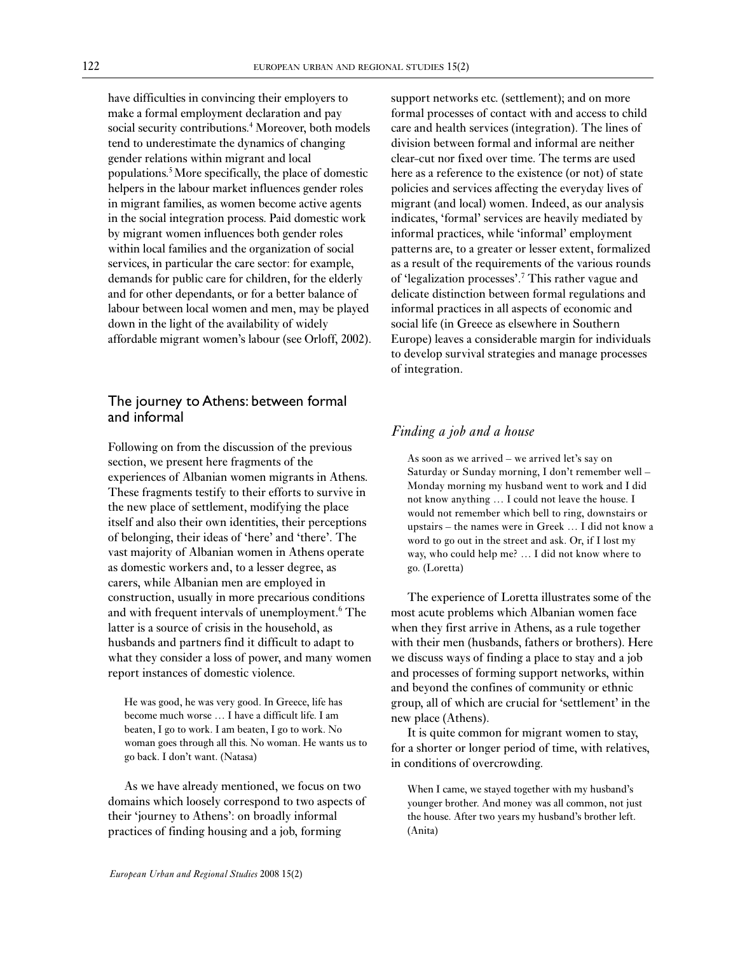have difficulties in convincing their employers to make a formal employment declaration and pay social security contributions.<sup>4</sup> Moreover, both models tend to underestimate the dynamics of changing gender relations within migrant and local populations.5 More specifically, the place of domestic helpers in the labour market influences gender roles in migrant families, as women become active agents in the social integration process. Paid domestic work by migrant women influences both gender roles within local families and the organization of social services, in particular the care sector: for example, demands for public care for children, for the elderly and for other dependants, or for a better balance of labour between local women and men, may be played down in the light of the availability of widely affordable migrant women's labour (see Orloff, 2002).

## The journey to Athens: between formal and informal

Following on from the discussion of the previous section, we present here fragments of the experiences of Albanian women migrants in Athens. These fragments testify to their efforts to survive in the new place of settlement, modifying the place itself and also their own identities, their perceptions of belonging, their ideas of 'here' and 'there'. The vast majority of Albanian women in Athens operate as domestic workers and, to a lesser degree, as carers, while Albanian men are employed in construction, usually in more precarious conditions and with frequent intervals of unemployment.<sup>6</sup> The latter is a source of crisis in the household, as husbands and partners find it difficult to adapt to what they consider a loss of power, and many women report instances of domestic violence.

He was good, he was very good. In Greece, life has become much worse … I have a difficult life. I am beaten, I go to work. I am beaten, I go to work. No woman goes through all this. No woman. He wants us to go back. I don't want. (Natasa)

As we have already mentioned, we focus on two domains which loosely correspond to two aspects of their 'journey to Athens': on broadly informal practices of finding housing and a job, forming

support networks etc. (settlement); and on more formal processes of contact with and access to child care and health services (integration). The lines of division between formal and informal are neither clear-cut nor fixed over time. The terms are used here as a reference to the existence (or not) of state policies and services affecting the everyday lives of migrant (and local) women. Indeed, as our analysis indicates, 'formal' services are heavily mediated by informal practices, while 'informal' employment patterns are, to a greater or lesser extent, formalized as a result of the requirements of the various rounds of 'legalization processes'.7 This rather vague and delicate distinction between formal regulations and informal practices in all aspects of economic and social life (in Greece as elsewhere in Southern Europe) leaves a considerable margin for individuals to develop survival strategies and manage processes of integration.

## *Finding a job and a house*

As soon as we arrived – we arrived let's say on Saturday or Sunday morning, I don't remember well – Monday morning my husband went to work and I did not know anything … I could not leave the house. I would not remember which bell to ring, downstairs or upstairs – the names were in Greek … I did not know a word to go out in the street and ask. Or, if I lost my way, who could help me? … I did not know where to go. (Loretta)

The experience of Loretta illustrates some of the most acute problems which Albanian women face when they first arrive in Athens, as a rule together with their men (husbands, fathers or brothers). Here we discuss ways of finding a place to stay and a job and processes of forming support networks, within and beyond the confines of community or ethnic group, all of which are crucial for 'settlement' in the new place (Athens).

It is quite common for migrant women to stay, for a shorter or longer period of time, with relatives, in conditions of overcrowding.

When I came, we stayed together with my husband's younger brother. And money was all common, not just the house. After two years my husband's brother left. (Anita)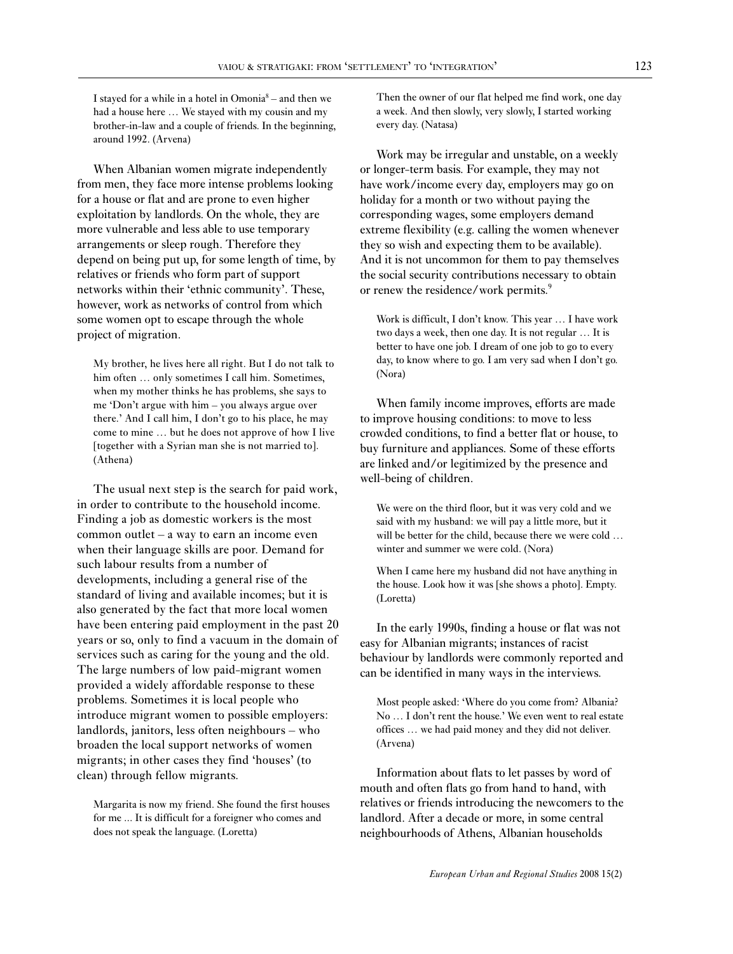I stayed for a while in a hotel in  $Omonia<sup>8</sup> -$  and then we had a house here … We stayed with my cousin and my brother-in-law and a couple of friends. In the beginning, around 1992. (Arvena)

When Albanian women migrate independently from men, they face more intense problems looking for a house or flat and are prone to even higher exploitation by landlords. On the whole, they are more vulnerable and less able to use temporary arrangements or sleep rough. Therefore they depend on being put up, for some length of time, by relatives or friends who form part of support networks within their 'ethnic community'. These, however, work as networks of control from which some women opt to escape through the whole project of migration.

My brother, he lives here all right. But I do not talk to him often ... only sometimes I call him. Sometimes, when my mother thinks he has problems, she says to me 'Don't argue with him – you always argue over there.' And I call him, I don't go to his place, he may come to mine … but he does not approve of how I live [together with a Syrian man she is not married to]. (Athena)

The usual next step is the search for paid work, in order to contribute to the household income. Finding a job as domestic workers is the most common outlet – a way to earn an income even when their language skills are poor. Demand for such labour results from a number of developments, including a general rise of the standard of living and available incomes; but it is also generated by the fact that more local women have been entering paid employment in the past 20 years or so, only to find a vacuum in the domain of services such as caring for the young and the old. The large numbers of low paid-migrant women provided a widely affordable response to these problems. Sometimes it is local people who introduce migrant women to possible employers: landlords, janitors, less often neighbours – who broaden the local support networks of women migrants; in other cases they find 'houses' (to clean) through fellow migrants.

Margarita is now my friend. She found the first houses for me ... It is difficult for a foreigner who comes and does not speak the language. (Loretta)

Then the owner of our flat helped me find work, one day a week. And then slowly, very slowly, I started working every day. (Natasa)

Work may be irregular and unstable, on a weekly or longer-term basis. For example, they may not have work/income every day, employers may go on holiday for a month or two without paying the corresponding wages, some employers demand extreme flexibility (e.g. calling the women whenever they so wish and expecting them to be available). And it is not uncommon for them to pay themselves the social security contributions necessary to obtain or renew the residence/work permits.<sup>9</sup>

Work is difficult, I don't know. This year … I have work two days a week, then one day. It is not regular … It is better to have one job. I dream of one job to go to every day, to know where to go. I am very sad when I don't go. (Nora)

When family income improves, efforts are made to improve housing conditions: to move to less crowded conditions, to find a better flat or house, to buy furniture and appliances. Some of these efforts are linked and/or legitimized by the presence and well-being of children.

We were on the third floor, but it was very cold and we said with my husband: we will pay a little more, but it will be better for the child, because there we were cold ... winter and summer we were cold. (Nora)

When I came here my husband did not have anything in the house. Look how it was [she shows a photo]. Empty. (Loretta)

In the early 1990s, finding a house or flat was not easy for Albanian migrants; instances of racist behaviour by landlords were commonly reported and can be identified in many ways in the interviews.

Most people asked: 'Where do you come from? Albania? No … I don't rent the house.' We even went to real estate offices … we had paid money and they did not deliver. (Arvena)

Information about flats to let passes by word of mouth and often flats go from hand to hand, with relatives or friends introducing the newcomers to the landlord. After a decade or more, in some central neighbourhoods of Athens, Albanian households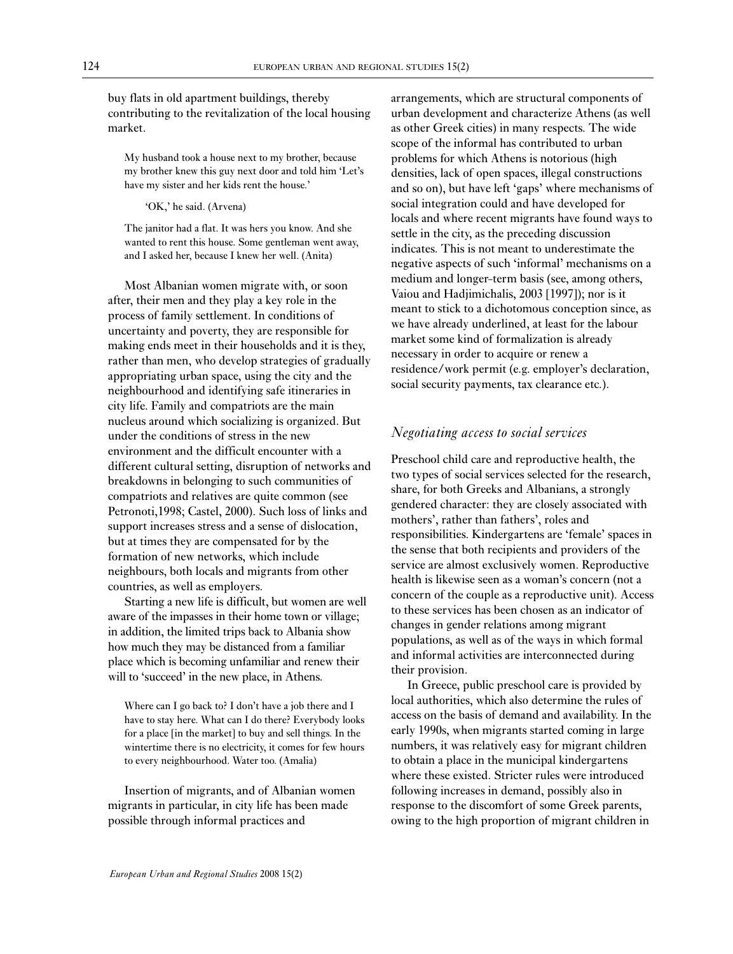buy flats in old apartment buildings, thereby contributing to the revitalization of the local housing market.

My husband took a house next to my brother, because my brother knew this guy next door and told him 'Let's have my sister and her kids rent the house.'

'OK,' he said. (Arvena)

The janitor had a flat. It was hers you know. And she wanted to rent this house. Some gentleman went away, and I asked her, because I knew her well. (Anita)

Most Albanian women migrate with, or soon after, their men and they play a key role in the process of family settlement. In conditions of uncertainty and poverty, they are responsible for making ends meet in their households and it is they, rather than men, who develop strategies of gradually appropriating urban space, using the city and the neighbourhood and identifying safe itineraries in city life. Family and compatriots are the main nucleus around which socializing is organized. But under the conditions of stress in the new environment and the difficult encounter with a different cultural setting, disruption of networks and breakdowns in belonging to such communities of compatriots and relatives are quite common (see Petronoti,1998; Castel, 2000). Such loss of links and support increases stress and a sense of dislocation, but at times they are compensated for by the formation of new networks, which include neighbours, both locals and migrants from other countries, as well as employers.

Starting a new life is difficult, but women are well aware of the impasses in their home town or village; in addition, the limited trips back to Albania show how much they may be distanced from a familiar place which is becoming unfamiliar and renew their will to 'succeed' in the new place, in Athens.

Where can I go back to? I don't have a job there and I have to stay here. What can I do there? Everybody looks for a place [in the market] to buy and sell things. In the wintertime there is no electricity, it comes for few hours to every neighbourhood. Water too. (Amalia)

Insertion of migrants, and of Albanian women migrants in particular, in city life has been made possible through informal practices and

arrangements, which are structural components of urban development and characterize Athens (as well as other Greek cities) in many respects. The wide scope of the informal has contributed to urban problems for which Athens is notorious (high densities, lack of open spaces, illegal constructions and so on), but have left 'gaps' where mechanisms of social integration could and have developed for locals and where recent migrants have found ways to settle in the city, as the preceding discussion indicates. This is not meant to underestimate the negative aspects of such 'informal' mechanisms on a medium and longer-term basis (see, among others, Vaiou and Hadjimichalis, 2003 [1997]); nor is it meant to stick to a dichotomous conception since, as we have already underlined, at least for the labour market some kind of formalization is already necessary in order to acquire or renew a residence/work permit (e.g. employer's declaration, social security payments, tax clearance etc.).

### *Negotiating access to social services*

Preschool child care and reproductive health, the two types of social services selected for the research, share, for both Greeks and Albanians, a strongly gendered character: they are closely associated with mothers', rather than fathers', roles and responsibilities. Kindergartens are 'female' spaces in the sense that both recipients and providers of the service are almost exclusively women. Reproductive health is likewise seen as a woman's concern (not a concern of the couple as a reproductive unit). Access to these services has been chosen as an indicator of changes in gender relations among migrant populations, as well as of the ways in which formal and informal activities are interconnected during their provision.

In Greece, public preschool care is provided by local authorities, which also determine the rules of access on the basis of demand and availability. In the early 1990s, when migrants started coming in large numbers, it was relatively easy for migrant children to obtain a place in the municipal kindergartens where these existed. Stricter rules were introduced following increases in demand, possibly also in response to the discomfort of some Greek parents, owing to the high proportion of migrant children in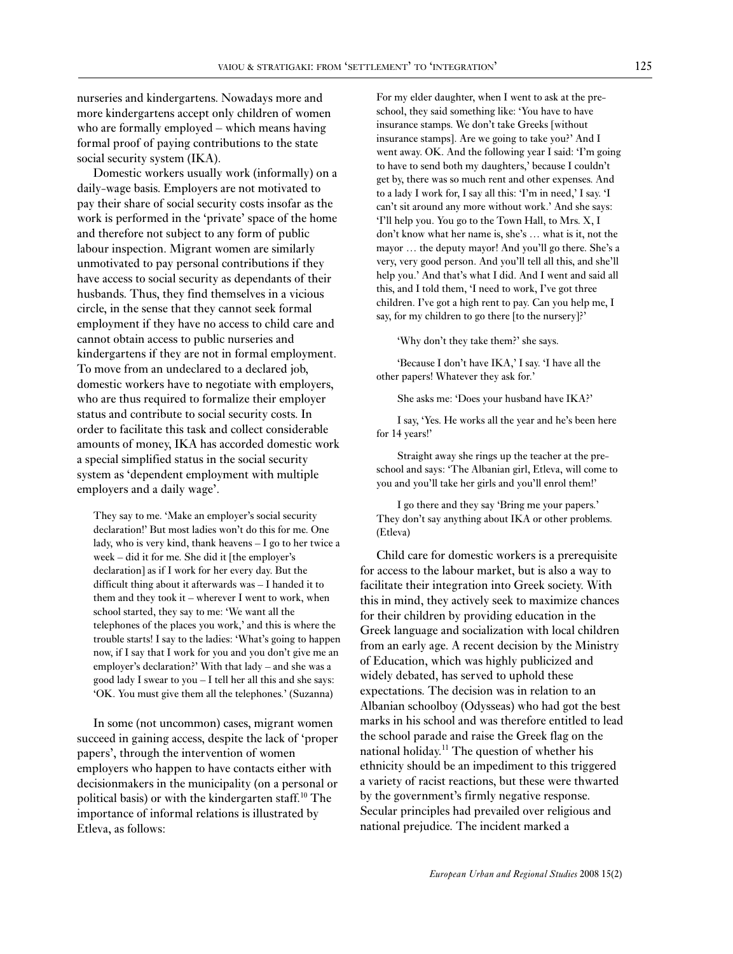nurseries and kindergartens. Nowadays more and more kindergartens accept only children of women who are formally employed – which means having formal proof of paying contributions to the state social security system (IKA).

Domestic workers usually work (informally) on a daily-wage basis. Employers are not motivated to pay their share of social security costs insofar as the work is performed in the 'private' space of the home and therefore not subject to any form of public labour inspection. Migrant women are similarly unmotivated to pay personal contributions if they have access to social security as dependants of their husbands. Thus, they find themselves in a vicious circle, in the sense that they cannot seek formal employment if they have no access to child care and cannot obtain access to public nurseries and kindergartens if they are not in formal employment. To move from an undeclared to a declared job, domestic workers have to negotiate with employers, who are thus required to formalize their employer status and contribute to social security costs. In order to facilitate this task and collect considerable amounts of money, IKA has accorded domestic work a special simplified status in the social security system as 'dependent employment with multiple employers and a daily wage'.

They say to me. 'Make an employer's social security declaration!' But most ladies won't do this for me. One lady, who is very kind, thank heavens – I go to her twice a week – did it for me. She did it [the employer's declaration] as if I work for her every day. But the difficult thing about it afterwards was – I handed it to them and they took it – wherever I went to work, when school started, they say to me: 'We want all the telephones of the places you work,' and this is where the trouble starts! I say to the ladies: 'What's going to happen now, if I say that I work for you and you don't give me an employer's declaration?' With that lady – and she was a good lady I swear to you – I tell her all this and she says: 'OK. You must give them all the telephones.' (Suzanna)

In some (not uncommon) cases, migrant women succeed in gaining access, despite the lack of 'proper papers', through the intervention of women employers who happen to have contacts either with decisionmakers in the municipality (on a personal or political basis) or with the kindergarten staff.<sup>10</sup> The importance of informal relations is illustrated by Etleva, as follows:

For my elder daughter, when I went to ask at the preschool, they said something like: 'You have to have insurance stamps. We don't take Greeks [without insurance stamps]. Are we going to take you?' And I went away. OK. And the following year I said: 'I'm going to have to send both my daughters,' because I couldn't get by, there was so much rent and other expenses. And to a lady I work for, I say all this: 'I'm in need,' I say. 'I can't sit around any more without work.' And she says: 'I'll help you. You go to the Town Hall, to Mrs. X, I don't know what her name is, she's … what is it, not the mayor … the deputy mayor! And you'll go there. She's a very, very good person. And you'll tell all this, and she'll help you.' And that's what I did. And I went and said all this, and I told them, 'I need to work, I've got three children. I've got a high rent to pay. Can you help me, I say, for my children to go there [to the nursery]?'

'Why don't they take them?' she says.

'Because I don't have IKA,' I say. 'I have all the other papers! Whatever they ask for.'

She asks me: 'Does your husband have IKA?'

I say, 'Yes. He works all the year and he's been here for 14 years!'

Straight away she rings up the teacher at the preschool and says: 'The Albanian girl, Etleva, will come to you and you'll take her girls and you'll enrol them!'

I go there and they say 'Bring me your papers.' They don't say anything about IKA or other problems. (Etleva)

Child care for domestic workers is a prerequisite for access to the labour market, but is also a way to facilitate their integration into Greek society. With this in mind, they actively seek to maximize chances for their children by providing education in the Greek language and socialization with local children from an early age. A recent decision by the Ministry of Education, which was highly publicized and widely debated, has served to uphold these expectations. The decision was in relation to an Albanian schoolboy (Odysseas) who had got the best marks in his school and was therefore entitled to lead the school parade and raise the Greek flag on the national holiday.11 The question of whether his ethnicity should be an impediment to this triggered a variety of racist reactions, but these were thwarted by the government's firmly negative response. Secular principles had prevailed over religious and national prejudice. The incident marked a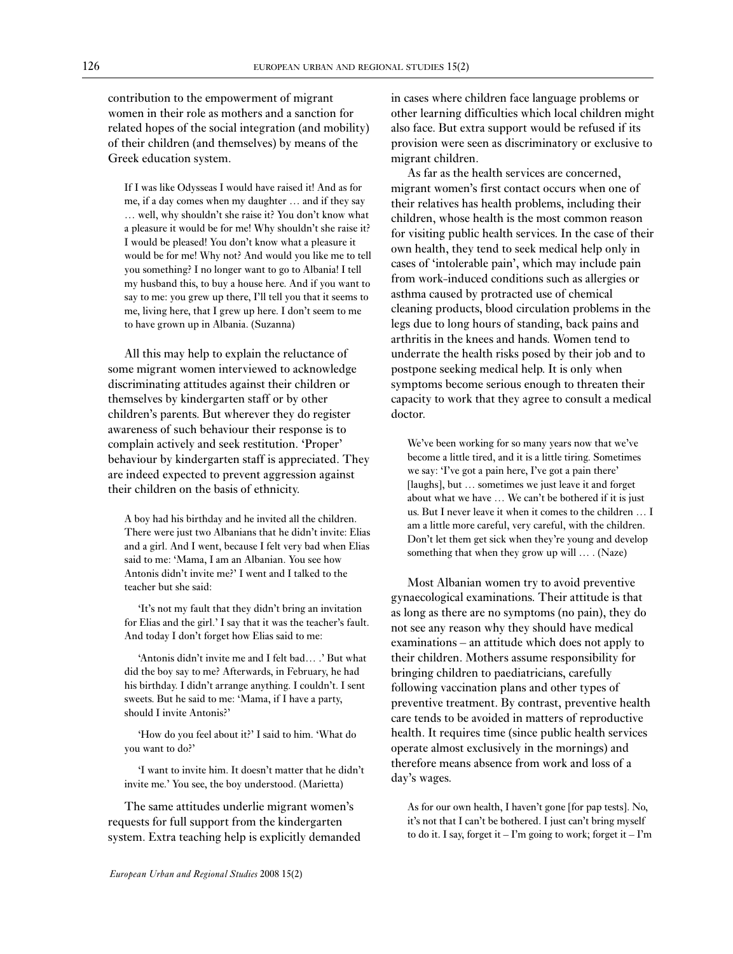contribution to the empowerment of migrant women in their role as mothers and a sanction for related hopes of the social integration (and mobility) of their children (and themselves) by means of the Greek education system.

If I was like Odysseas I would have raised it! And as for me, if a day comes when my daughter … and if they say … well, why shouldn't she raise it? You don't know what a pleasure it would be for me! Why shouldn't she raise it? I would be pleased! You don't know what a pleasure it would be for me! Why not? And would you like me to tell you something? I no longer want to go to Albania! I tell my husband this, to buy a house here. And if you want to say to me: you grew up there, I'll tell you that it seems to me, living here, that I grew up here. I don't seem to me to have grown up in Albania. (Suzanna)

All this may help to explain the reluctance of some migrant women interviewed to acknowledge discriminating attitudes against their children or themselves by kindergarten staff or by other children's parents. But wherever they do register awareness of such behaviour their response is to complain actively and seek restitution. 'Proper' behaviour by kindergarten staff is appreciated. They are indeed expected to prevent aggression against their children on the basis of ethnicity.

A boy had his birthday and he invited all the children. There were just two Albanians that he didn't invite: Elias and a girl. And I went, because I felt very bad when Elias said to me: 'Mama, I am an Albanian. You see how Antonis didn't invite me?' I went and I talked to the teacher but she said:

'It's not my fault that they didn't bring an invitation for Elias and the girl.' I say that it was the teacher's fault. And today I don't forget how Elias said to me:

'Antonis didn't invite me and I felt bad… .' But what did the boy say to me? Afterwards, in February, he had his birthday. I didn't arrange anything. I couldn't. I sent sweets. But he said to me: 'Mama, if I have a party, should I invite Antonis?'

'How do you feel about it?' I said to him. 'What do you want to do?'

'I want to invite him. It doesn't matter that he didn't invite me.' You see, the boy understood. (Marietta)

The same attitudes underlie migrant women's requests for full support from the kindergarten system. Extra teaching help is explicitly demanded in cases where children face language problems or other learning difficulties which local children might also face. But extra support would be refused if its provision were seen as discriminatory or exclusive to migrant children.

As far as the health services are concerned, migrant women's first contact occurs when one of their relatives has health problems, including their children, whose health is the most common reason for visiting public health services. In the case of their own health, they tend to seek medical help only in cases of 'intolerable pain', which may include pain from work-induced conditions such as allergies or asthma caused by protracted use of chemical cleaning products, blood circulation problems in the legs due to long hours of standing, back pains and arthritis in the knees and hands. Women tend to underrate the health risks posed by their job and to postpone seeking medical help. It is only when symptoms become serious enough to threaten their capacity to work that they agree to consult a medical doctor.

We've been working for so many years now that we've become a little tired, and it is a little tiring. Sometimes we say: 'I've got a pain here, I've got a pain there' [laughs], but … sometimes we just leave it and forget about what we have … We can't be bothered if it is just us. But I never leave it when it comes to the children … I am a little more careful, very careful, with the children. Don't let them get sick when they're young and develop something that when they grow up will … . (Naze)

Most Albanian women try to avoid preventive gynaecological examinations. Their attitude is that as long as there are no symptoms (no pain), they do not see any reason why they should have medical examinations – an attitude which does not apply to their children. Mothers assume responsibility for bringing children to paediatricians, carefully following vaccination plans and other types of preventive treatment. By contrast, preventive health care tends to be avoided in matters of reproductive health. It requires time (since public health services operate almost exclusively in the mornings) and therefore means absence from work and loss of a day's wages.

As for our own health, I haven't gone [for pap tests]. No, it's not that I can't be bothered. I just can't bring myself to do it. I say, forget it  $-$  I'm going to work; forget it  $-$  I'm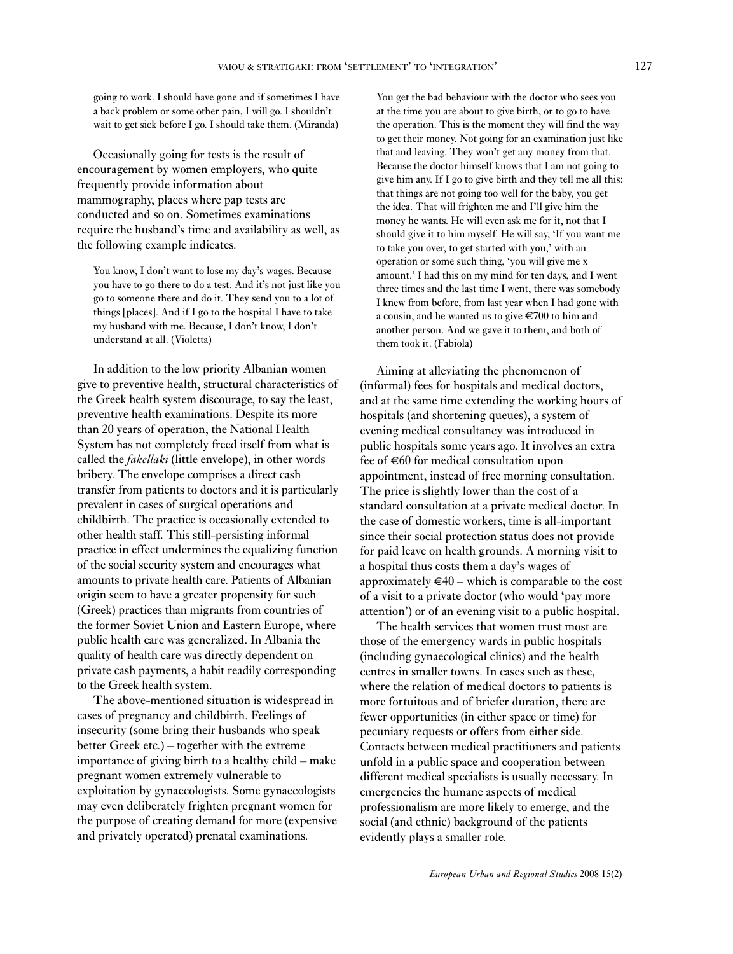going to work. I should have gone and if sometimes I have a back problem or some other pain, I will go. I shouldn't wait to get sick before I go. I should take them. (Miranda)

Occasionally going for tests is the result of encouragement by women employers, who quite frequently provide information about mammography, places where pap tests are conducted and so on. Sometimes examinations require the husband's time and availability as well, as the following example indicates.

You know, I don't want to lose my day's wages. Because you have to go there to do a test. And it's not just like you go to someone there and do it. They send you to a lot of things [places]. And if I go to the hospital I have to take my husband with me. Because, I don't know, I don't understand at all. (Violetta)

In addition to the low priority Albanian women give to preventive health, structural characteristics of the Greek health system discourage, to say the least, preventive health examinations. Despite its more than 20 years of operation, the National Health System has not completely freed itself from what is called the *fakellaki* (little envelope), in other words bribery. The envelope comprises a direct cash transfer from patients to doctors and it is particularly prevalent in cases of surgical operations and childbirth. The practice is occasionally extended to other health staff. This still-persisting informal practice in effect undermines the equalizing function of the social security system and encourages what amounts to private health care. Patients of Albanian origin seem to have a greater propensity for such (Greek) practices than migrants from countries of the former Soviet Union and Eastern Europe, where public health care was generalized. In Albania the quality of health care was directly dependent on private cash payments, a habit readily corresponding to the Greek health system.

The above-mentioned situation is widespread in cases of pregnancy and childbirth. Feelings of insecurity (some bring their husbands who speak better Greek etc.) – together with the extreme importance of giving birth to a healthy child – make pregnant women extremely vulnerable to exploitation by gynaecologists. Some gynaecologists may even deliberately frighten pregnant women for the purpose of creating demand for more (expensive and privately operated) prenatal examinations.

You get the bad behaviour with the doctor who sees you at the time you are about to give birth, or to go to have the operation. This is the moment they will find the way to get their money. Not going for an examination just like that and leaving. They won't get any money from that. Because the doctor himself knows that I am not going to give him any. If I go to give birth and they tell me all this: that things are not going too well for the baby, you get the idea. That will frighten me and I'll give him the money he wants. He will even ask me for it, not that I should give it to him myself. He will say, 'If you want me to take you over, to get started with you,' with an operation or some such thing, 'you will give me x amount.' I had this on my mind for ten days, and I went three times and the last time I went, there was somebody I knew from before, from last year when I had gone with a cousin, and he wanted us to give €700 to him and another person. And we gave it to them, and both of them took it. (Fabiola)

Aiming at alleviating the phenomenon of (informal) fees for hospitals and medical doctors, and at the same time extending the working hours of hospitals (and shortening queues), a system of evening medical consultancy was introduced in public hospitals some years ago. It involves an extra fee of €60 for medical consultation upon appointment, instead of free morning consultation. The price is slightly lower than the cost of a standard consultation at a private medical doctor. In the case of domestic workers, time is all-important since their social protection status does not provide for paid leave on health grounds. A morning visit to a hospital thus costs them a day's wages of approximately  $\in$ 40 – which is comparable to the cost of a visit to a private doctor (who would 'pay more attention') or of an evening visit to a public hospital.

The health services that women trust most are those of the emergency wards in public hospitals (including gynaecological clinics) and the health centres in smaller towns. In cases such as these, where the relation of medical doctors to patients is more fortuitous and of briefer duration, there are fewer opportunities (in either space or time) for pecuniary requests or offers from either side. Contacts between medical practitioners and patients unfold in a public space and cooperation between different medical specialists is usually necessary. In emergencies the humane aspects of medical professionalism are more likely to emerge, and the social (and ethnic) background of the patients evidently plays a smaller role.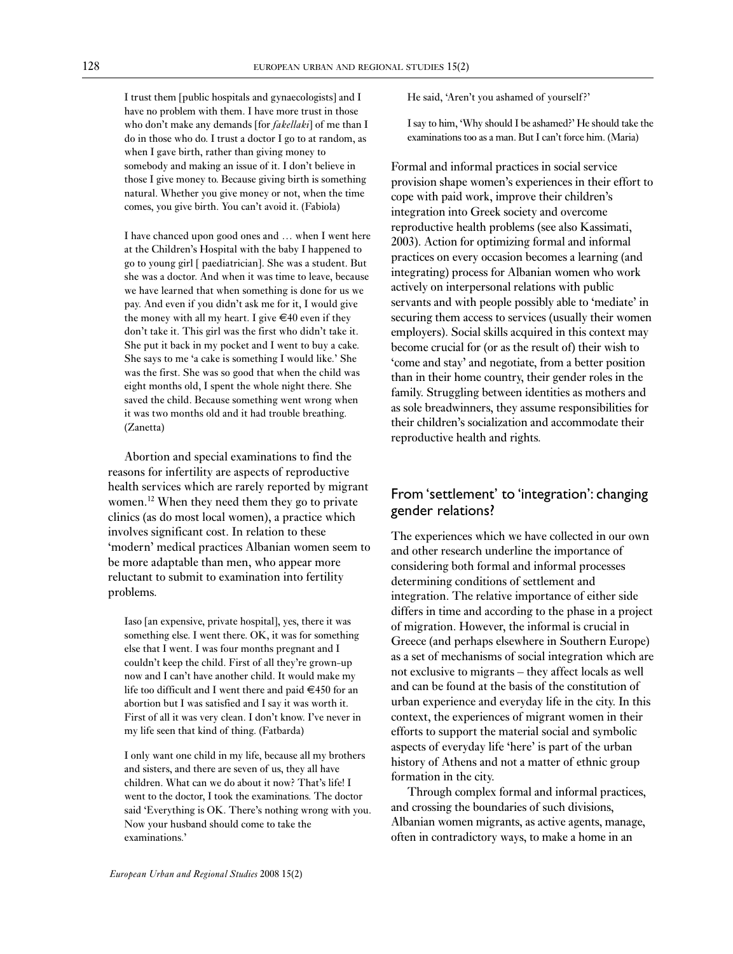I trust them [public hospitals and gynaecologists] and I have no problem with them. I have more trust in those who don't make any demands [for *fakellaki*] of me than I do in those who do. I trust a doctor I go to at random, as when I gave birth, rather than giving money to somebody and making an issue of it. I don't believe in those I give money to. Because giving birth is something natural. Whether you give money or not, when the time comes, you give birth. You can't avoid it. (Fabiola)

I have chanced upon good ones and … when I went here at the Children's Hospital with the baby I happened to go to young girl [ paediatrician]. She was a student. But she was a doctor. And when it was time to leave, because we have learned that when something is done for us we pay. And even if you didn't ask me for it, I would give the money with all my heart. I give  $\in$ 40 even if they don't take it. This girl was the first who didn't take it. She put it back in my pocket and I went to buy a cake. She says to me 'a cake is something I would like.' She was the first. She was so good that when the child was eight months old, I spent the whole night there. She saved the child. Because something went wrong when it was two months old and it had trouble breathing. (Zanetta)

Abortion and special examinations to find the reasons for infertility are aspects of reproductive health services which are rarely reported by migrant women.12 When they need them they go to private clinics (as do most local women), a practice which involves significant cost. In relation to these 'modern' medical practices Albanian women seem to be more adaptable than men, who appear more reluctant to submit to examination into fertility problems.

Iaso [an expensive, private hospital], yes, there it was something else. I went there. OK, it was for something else that I went. I was four months pregnant and I couldn't keep the child. First of all they're grown-up now and I can't have another child. It would make my life too difficult and I went there and paid €450 for an abortion but I was satisfied and I say it was worth it. First of all it was very clean. I don't know. I've never in my life seen that kind of thing. (Fatbarda)

I only want one child in my life, because all my brothers and sisters, and there are seven of us, they all have children. What can we do about it now? That's life! I went to the doctor, I took the examinations. The doctor said 'Everything is OK. There's nothing wrong with you. Now your husband should come to take the examinations.'

*European Urban and Regional Studies* 2008 15(2)

He said, 'Aren't you ashamed of yourself?'

I say to him, 'Why should I be ashamed?' He should take the examinations too as a man. But I can't force him. (Maria)

Formal and informal practices in social service provision shape women's experiences in their effort to cope with paid work, improve their children's integration into Greek society and overcome reproductive health problems (see also Kassimati, 2003). Action for optimizing formal and informal practices on every occasion becomes a learning (and integrating) process for Albanian women who work actively on interpersonal relations with public servants and with people possibly able to 'mediate' in securing them access to services (usually their women employers). Social skills acquired in this context may become crucial for (or as the result of) their wish to 'come and stay' and negotiate, from a better position than in their home country, their gender roles in the family. Struggling between identities as mothers and as sole breadwinners, they assume responsibilities for their children's socialization and accommodate their reproductive health and rights.

## From 'settlement' to 'integration': changing gender relations?

The experiences which we have collected in our own and other research underline the importance of considering both formal and informal processes determining conditions of settlement and integration. The relative importance of either side differs in time and according to the phase in a project of migration. However, the informal is crucial in Greece (and perhaps elsewhere in Southern Europe) as a set of mechanisms of social integration which are not exclusive to migrants – they affect locals as well and can be found at the basis of the constitution of urban experience and everyday life in the city. In this context, the experiences of migrant women in their efforts to support the material social and symbolic aspects of everyday life 'here' is part of the urban history of Athens and not a matter of ethnic group formation in the city.

Through complex formal and informal practices, and crossing the boundaries of such divisions, Albanian women migrants, as active agents, manage, often in contradictory ways, to make a home in an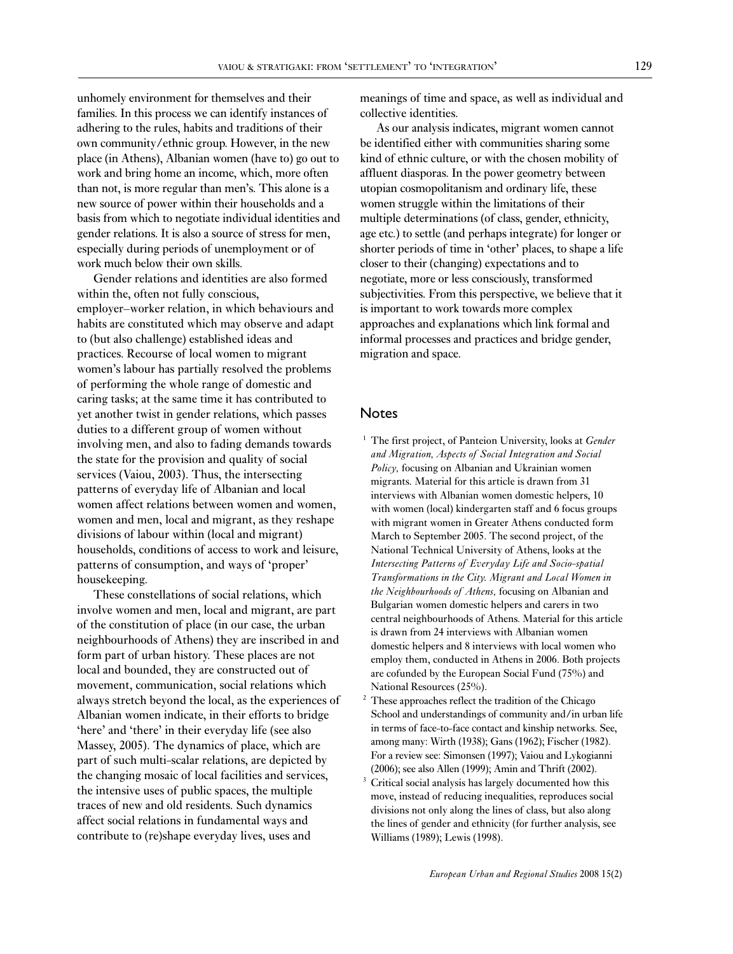unhomely environment for themselves and their families. In this process we can identify instances of adhering to the rules, habits and traditions of their own community/ethnic group. However, in the new place (in Athens), Albanian women (have to) go out to work and bring home an income, which, more often than not, is more regular than men's. This alone is a new source of power within their households and a basis from which to negotiate individual identities and gender relations. It is also a source of stress for men, especially during periods of unemployment or of work much below their own skills.

Gender relations and identities are also formed within the, often not fully conscious, employer–worker relation, in which behaviours and habits are constituted which may observe and adapt to (but also challenge) established ideas and practices. Recourse of local women to migrant women's labour has partially resolved the problems of performing the whole range of domestic and caring tasks; at the same time it has contributed to yet another twist in gender relations, which passes duties to a different group of women without involving men, and also to fading demands towards the state for the provision and quality of social services (Vaiou, 2003). Thus, the intersecting patterns of everyday life of Albanian and local women affect relations between women and women, women and men, local and migrant, as they reshape divisions of labour within (local and migrant) households, conditions of access to work and leisure, patterns of consumption, and ways of 'proper' housekeeping.

These constellations of social relations, which involve women and men, local and migrant, are part of the constitution of place (in our case, the urban neighbourhoods of Athens) they are inscribed in and form part of urban history. These places are not local and bounded, they are constructed out of movement, communication, social relations which always stretch beyond the local, as the experiences of Albanian women indicate, in their efforts to bridge 'here' and 'there' in their everyday life (see also Massey, 2005). The dynamics of place, which are part of such multi-scalar relations, are depicted by the changing mosaic of local facilities and services, the intensive uses of public spaces, the multiple traces of new and old residents. Such dynamics affect social relations in fundamental ways and contribute to (re)shape everyday lives, uses and

meanings of time and space, as well as individual and collective identities.

As our analysis indicates, migrant women cannot be identified either with communities sharing some kind of ethnic culture, or with the chosen mobility of affluent diasporas. In the power geometry between utopian cosmopolitanism and ordinary life, these women struggle within the limitations of their multiple determinations (of class, gender, ethnicity, age etc.) to settle (and perhaps integrate) for longer or shorter periods of time in 'other' places, to shape a life closer to their (changing) expectations and to negotiate, more or less consciously, transformed subjectivities. From this perspective, we believe that it is important to work towards more complex approaches and explanations which link formal and informal processes and practices and bridge gender, migration and space.

#### Notes

- <sup>1</sup> The first project, of Panteion University, looks at *Gender and Migration, Aspects of Social Integration and Social Policy,* focusing on Albanian and Ukrainian women migrants*.* Material for this article is drawn from 31 interviews with Albanian women domestic helpers, 10 with women (local) kindergarten staff and 6 focus groups with migrant women in Greater Athens conducted form March to September 2005. The second project, of the National Technical University of Athens, looks at the *Intersecting Patterns of Everyday Life and Socio-spatial Transformations in the City. Migrant and Local Women in the Neighbourhoods of Athens,* focusing on Albanian and Bulgarian women domestic helpers and carers in two central neighbourhoods of Athens. Material for this article is drawn from 24 interviews with Albanian women domestic helpers and 8 interviews with local women who employ them, conducted in Athens in 2006. Both projects are cofunded by the European Social Fund (75%) and National Resources (25%).
- <sup>2</sup> These approaches reflect the tradition of the Chicago School and understandings of community and/in urban life in terms of face-to-face contact and kinship networks. See, among many: Wirth (1938); Gans (1962); Fischer (1982). For a review see: Simonsen (1997); Vaiou and Lykogianni (2006); see also Allen (1999); Amin and Thrift (2002).
- <sup>3</sup> Critical social analysis has largely documented how this move, instead of reducing inequalities, reproduces social divisions not only along the lines of class, but also along the lines of gender and ethnicity (for further analysis, see Williams (1989); Lewis (1998).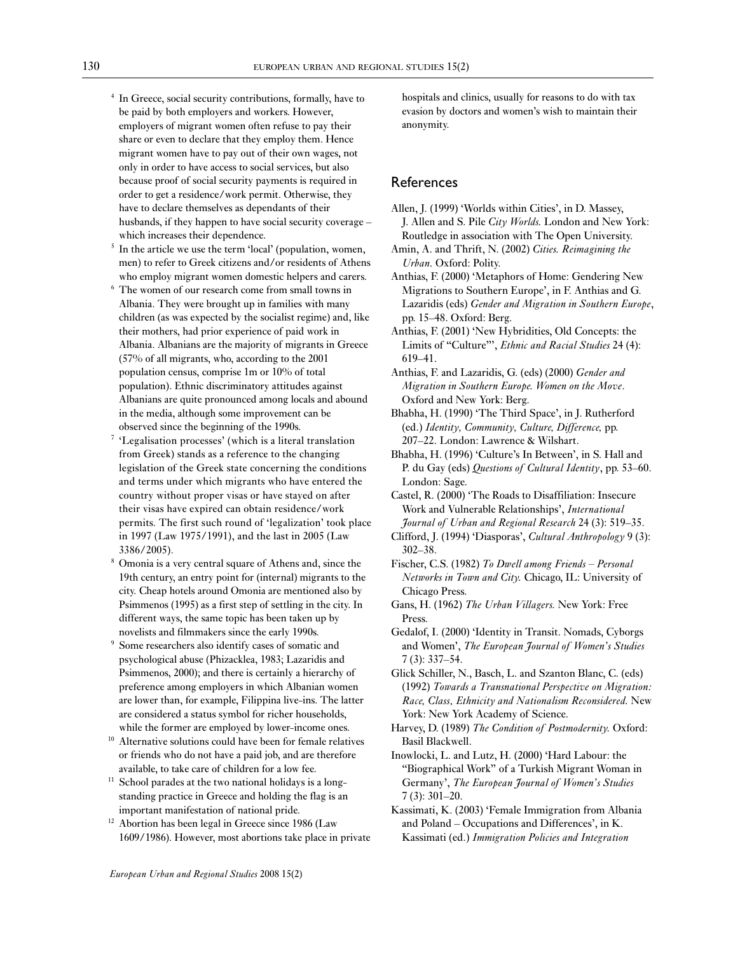- <sup>4</sup> In Greece, social security contributions, formally, have to be paid by both employers and workers. However, employers of migrant women often refuse to pay their share or even to declare that they employ them. Hence migrant women have to pay out of their own wages, not only in order to have access to social services, but also because proof of social security payments is required in order to get a residence/work permit. Otherwise, they have to declare themselves as dependants of their husbands, if they happen to have social security coverage – which increases their dependence.
- <sup>5</sup> In the article we use the term 'local' (population, women, men) to refer to Greek citizens and/or residents of Athens who employ migrant women domestic helpers and carers.
- <sup>6</sup> The women of our research come from small towns in Albania. They were brought up in families with many children (as was expected by the socialist regime) and, like their mothers, had prior experience of paid work in Albania. Albanians are the majority of migrants in Greece (57% of all migrants, who, according to the 2001 population census, comprise 1m or 10% of total population). Ethnic discriminatory attitudes against Albanians are quite pronounced among locals and abound in the media, although some improvement can be observed since the beginning of the 1990s.
- <sup>7</sup> 'Legalisation processes' (which is a literal translation from Greek) stands as a reference to the changing legislation of the Greek state concerning the conditions and terms under which migrants who have entered the country without proper visas or have stayed on after their visas have expired can obtain residence/work permits. The first such round of 'legalization' took place in 1997 (Law 1975/1991), and the last in 2005 (Law 3386/2005).
- <sup>8</sup> Omonia is a very central square of Athens and, since the 19th century, an entry point for (internal) migrants to the city. Cheap hotels around Omonia are mentioned also by Psimmenos (1995) as a first step of settling in the city. In different ways, the same topic has been taken up by novelists and filmmakers since the early 1990s.
- <sup>9</sup> Some researchers also identify cases of somatic and psychological abuse (Phizacklea, 1983; Lazaridis and Psimmenos, 2000); and there is certainly a hierarchy of preference among employers in which Albanian women are lower than, for example, Filippina live-ins. The latter are considered a status symbol for richer households,
- while the former are employed by lower-income ones. 10 Alternative solutions could have been for female relatives or friends who do not have a paid job, and are therefore available, to take care of children for a low fee.
- $11$  School parades at the two national holidays is a longstanding practice in Greece and holding the flag is an important manifestation of national pride.
- <sup>12</sup> Abortion has been legal in Greece since 1986 (Law 1609/1986). However, most abortions take place in private

hospitals and clinics, usually for reasons to do with tax evasion by doctors and women's wish to maintain their anonymity.

### **References**

- Allen, J. (1999) 'Worlds within Cities', in D. Massey, J. Allen and S. Pile *City Worlds.* London and New York: Routledge in association with The Open University.
- Amin, A. and Thrift, N. (2002) *Cities. Reimagining the Urban.* Oxford: Polity.

Anthias, F. (2000) 'Metaphors of Home: Gendering New Migrations to Southern Europe', in F. Anthias and G. Lazaridis (eds) *Gender and Migration in Southern Europe*, pp. 15–48. Oxford: Berg.

- Anthias, F. (2001) 'New Hybridities, Old Concepts: the Limits of "Culture"', *Ethnic and Racial Studies* 24 (4): 619–41.
- Anthias, F. and Lazaridis, G. (eds) (2000) *Gender and Migration in Southern Europe. Women on the Move*. Oxford and New York: Berg.
- Bhabha, H. (1990) 'The Third Space', in J. Rutherford (ed.) *Identity, Community, Culture, Difference,* pp. 207–22. London: Lawrence & Wilshart.
- Bhabha, H. (1996) 'Culture's In Between', in S. Hall and P. du Gay (eds) *Questions of Cultural Identity*, pp. 53–60. London: Sage.
- Castel, R. (2000) 'The Roads to Disaffiliation: Insecure Work and Vulnerable Relationships', *International Journal of Urban and Regional Research* 24 (3): 519–35.
- Clifford, J. (1994) 'Diasporas', *Cultural Anthropology* 9 (3): 302–38.
- Fischer, C.S. (1982) *To Dwell among Friends Personal Networks in Town and City.* Chicago, IL: University of Chicago Press.
- Gans, H. (1962) *The Urban Villagers.* New York: Free Press.
- Gedalof, I. (2000) 'Identity in Transit. Nomads, Cyborgs and Women', *The European Journal of Women's Studies* 7 (3): 337–54.
- Glick Schiller, N., Basch, L. and Szanton Blanc, C. (eds) (1992) *Towards a Transnational Perspective on Migration: Race, Class, Ethnicity and Nationalism Reconsidered.* New York: New York Academy of Science.
- Harvey, D. (1989) *The Condition of Postmodernity.* Oxford: Basil Blackwell.
- Inowlocki, L. and Lutz, H. (2000) 'Hard Labour: the "Biographical Work" of a Turkish Migrant Woman in Germany', *The European Journal of Women's Studies*  7 (3): 301–20.
- Kassimati, K. (2003) 'Female Immigration from Albania and Poland – Occupations and Differences', in K. Kassimati (ed.) *Immigration Policies and Integration*